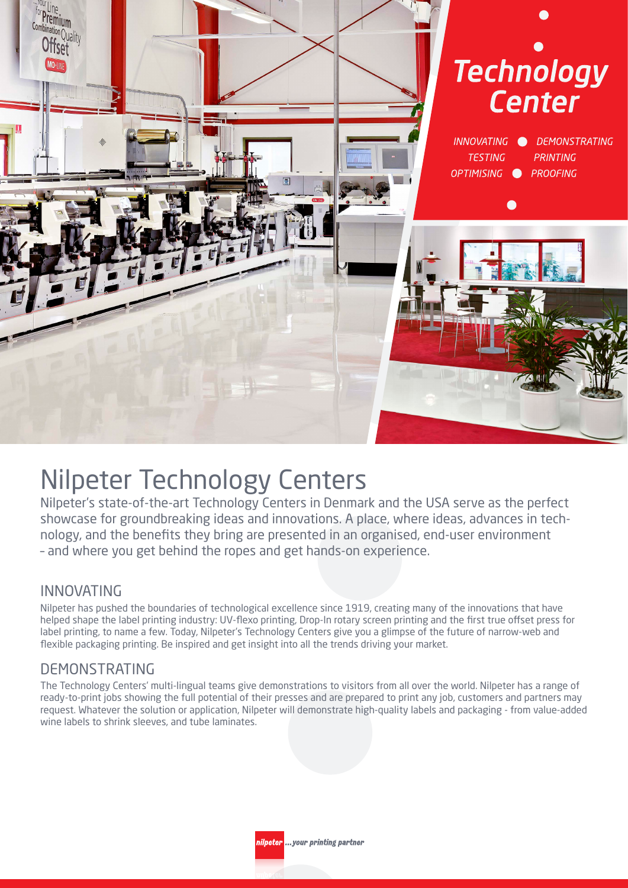

# Nilpeter Technology Centers

Nilpeter's state-of-the-art Technology Centers in Denmark and the USA serve as the perfect showcase for groundbreaking ideas and innovations. A place, where ideas, advances in technology, and the benefits they bring are presented in an organised, end-user environment – and where you get behind the ropes and get hands-on experience.

### INNOVATING

Nilpeter has pushed the boundaries of technological excellence since 1919, creating many of the innovations that have helped shape the label printing industry: UV-flexo printing, Drop-In rotary screen printing and the first true offset press for label printing, to name a few. Today, Nilpeter's Technology Centers give you a glimpse of the future of narrow-web and flexible packaging printing. Be inspired and get insight into all the trends driving your market.

# DEMONSTRATING

The Technology Centers' multi-lingual teams give demonstrations to visitors from all over the world. Nilpeter has a range of ready-to-print jobs showing the full potential of their presses and are prepared to print any job, customers and partners may request. Whatever the solution or application, Nilpeter will demonstrate high-quality labels and packaging - from value-added wine labels to shrink sleeves, and tube laminates.